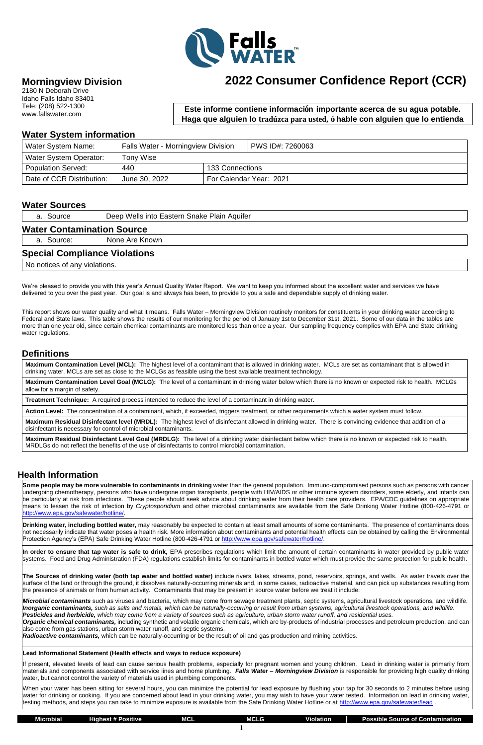

## **Morningview Division**

2180 N Deborah Drive Idaho Falls Idaho 83401 Tele: (208) 522-1300 www.fallswater.com

### **Water System information**

| Water System Name:        | <b>Falls Water - Morningview Division</b> |                         | PWS ID#: 7260063 |  |
|---------------------------|-------------------------------------------|-------------------------|------------------|--|
| Water System Operator:    | Tony Wise                                 |                         |                  |  |
| <b>Population Served:</b> | 440                                       | 133 Connections         |                  |  |
| Date of CCR Distribution: | June 30, 2022                             | For Calendar Year: 2021 |                  |  |

#### **Water Sources**

a. Source Deep Wells into Eastern Snake Plain Aquifer

#### **Water Contamination Source**

a. Source: None Are Known

#### **Special Compliance Violations**

No notices of any violations.

We're pleased to provide you with this year's Annual Quality Water Report. We want to keep you informed about the excellent water and services we have delivered to you over the past year. Our goal is and always has been, to provide to you a safe and dependable supply of drinking water.

This report shows our water quality and what it means. Falls Water – Morningview Division routinely monitors for constituents in your drinking water according to Federal and State laws. This table shows the results of our monitoring for the period of January 1st to December 31st, 2021. Some of our data in the tables are more than one year old, since certain chemical contaminants are monitored less than once a year. Our sampling frequency complies with EPA and State drinking water regulations.

### **Definitions**

**Maximum Contamination Level (MCL):** The highest level of a contaminant that is allowed in drinking water. MCLs are set as contaminant that is allowed in drinking water. MCLs are set as close to the MCLGs as feasible using the best available treatment technology.

**Drinking water, including bottled water,** may reasonably be expected to contain at least small amounts of some contaminants. The presence of contaminants does not necessarily indicate that water poses a health risk. More information about contaminants and potential health effects can be obtained by calling the Environmental Protection Agency's (EPA) Safe Drinking Water Hotline (800-426-4791 or [http://www.epa.gov/safewater/hotline/.](http://www.epa.gov/safewater/hotline/)

**Maximum Contamination Level Goal (MCLG):** The level of a contaminant in drinking water below which there is no known or expected risk to health. MCLGs allow for a margin of safety.

**Treatment Technique:** A required process intended to reduce the level of a contaminant in drinking water.

**Action Level:** The concentration of a contaminant, which, if exceeded, triggers treatment, or other requirements which a water system must follow.

**Maximum Residual Disinfectant level (MRDL):** The highest level of disinfectant allowed in drinking water. There is convincing evidence that addition of a disinfectant is necessary for control of microbial contaminants.

**Maximum Residual Disinfectant Level Goal (MRDLG):** The level of a drinking water disinfectant below which there is no known or expected risk to health. MRDLGs do not reflect the benefits of the use of disinfectants to control microbial contamination.

### **Health Information**

**Some people may be more vulnerable to contaminants in drinking** water than the general population. Immuno-compromised persons such as persons with cancer undergoing chemotherapy, persons who have undergone organ transplants, people with HIV/AIDS or other immune system disorders, some elderly, and infants can be particularly at risk from infections. These people should seek advice about drinking water from their health care providers. EPA/CDC guidelines on appropriate means to lessen the risk of infection by *Cryptosporidium* and other microbial contaminants are available from the Safe Drinking Water Hotline (800-426-4791 or [http://www.epa.gov/safewater/hotline/.](http://www.epa.gov/safewater/hotline/)

| . .<br>Microbial | Highest # F<br>Positive | <b>MCL</b> |  | .<br>Violation | . .<br>of Contamination<br>Possible<br>: Source of |
|------------------|-------------------------|------------|--|----------------|----------------------------------------------------|
|                  |                         |            |  |                |                                                    |

**In order to ensure that tap water is safe to drink,** EPA prescribes regulations which limit the amount of certain contaminants in water provided by public water systems. Food and Drug Administration (FDA) regulations establish limits for contaminants in bottled water which must provide the same protection for public health.

**The Sources of drinking water (both tap water and bottled water)** include rivers, lakes, streams, pond, reservoirs, springs, and wells. As water travels over the surface of the land or through the ground, it dissolves naturally-occurring minerals and, in some cases, radioactive material, and can pick up substances resulting from the presence of animals or from human activity. Contaminants that may be present in source water before we treat it include:

*Microbial contaminants* such as viruses and bacteria, which may come from sewage treatment plants, septic systems, agricultural livestock operations, and wildlife. *Inorganic contaminants, such as salts and metals, which can be naturally-occurring or result from urban systems, agricultural livestock operations, and wildlife. Pesticides and herbicide, which may come from a variety of sources such as agriculture, urban storm water runoff, and residential uses. Organic chemical contaminants,* including synthetic and volatile organic chemicals, which are by-products of industrial processes and petroleum production, and can

also come from gas stations, urban storm water runoff, and septic systems.

*Radioactive contaminants,* which can be naturally-occurring or be the result of oil and gas production and mining activities.

#### **Lead Informational Statement (Health effects and ways to reduce exposure)**

If present, elevated levels of lead can cause serious health problems, especially for pregnant women and young children. Lead in drinking water is primarily from materials and components associated with service lines and home plumbing. *Falls Water – Morningview Division* is responsible for providing high quality drinking water, but cannot control the variety of materials used in plumbing components.

When your water has been sitting for several hours, you can minimize the potential for lead exposure by flushing your tap for 30 seconds to 2 minutes before using water for drinking or cooking. If you are concerned about lead in your drinking water, you may wish to have your water tested. Information on lead in drinking water, testing methods, and steps you can take to minimize exposure is available from the Safe Drinking Water Hotline or at<http://www.epa.gov/safewater/lead> .

# **2022 Consumer Confidence Report (CCR)**

**Este informe contiene información importante acerca de su agua potable. Haga que alguien lo tradúzca para usted, ó hable con alguien que lo entienda** 

**bien.**